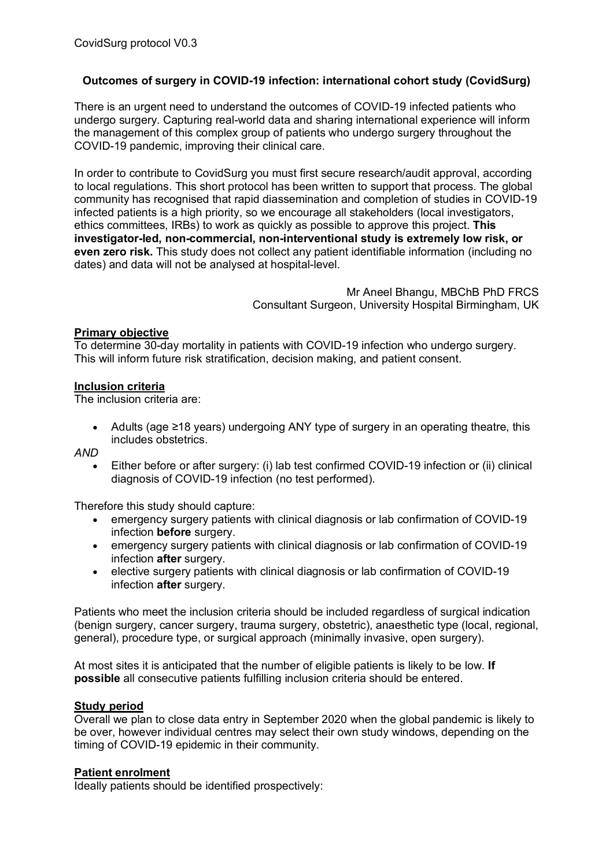# **Outcomes of surgery in COVID-19 infection: international cohort study (CovidSurg)**

There is an urgent need to understand the outcomes of COVID-19 infected patients who undergo surgery. Capturing real-world data and sharing international experience will inform the management of this complex group of patients who undergo surgery throughout the COVID-19 pandemic, improving their clinical care.

In order to contribute to CovidSurg you must first secure research/audit approval, according to local regulations. This short protocol has been written to support that process. The global community has recognised that rapid diassemination and completion of studies in COVID-19 infected patients is a high priority, so we encourage all stakeholders (local investigators, ethics committees, IRBs) to work as quickly as possible to approve this project. **This investigator-led, non-commercial, non-interventional study is extremely low risk, or even zero risk.** This study does not collect any patient identifiable information (including no dates) and data will not be analysed at hospital-level.

> Mr Aneel Bhangu, MBChB PhD FRCS Consultant Surgeon, University Hospital Birmingham, UK

### **Primary objective**

To determine 30-day mortality in patients with COVID-19 infection who undergo surgery. This will inform future risk stratification, decision making, and patient consent.

### **Inclusion criteria**

The inclusion criteria are:

• Adults (age ≥18 years) undergoing ANY type of surgery in an operating theatre, this includes obstetrics.

*AND*

• Either before or after surgery: (i) lab test confirmed COVID-19 infection or (ii) clinical diagnosis of COVID-19 infection (no test performed).

Therefore this study should capture:

- emergency surgery patients with clinical diagnosis or lab confirmation of COVID-19 infection **before** surgery.
- emergency surgery patients with clinical diagnosis or lab confirmation of COVID-19 infection **after** surgery.
- elective surgery patients with clinical diagnosis or lab confirmation of COVID-19 infection **after** surgery.

Patients who meet the inclusion criteria should be included regardless of surgical indication (benign surgery, cancer surgery, trauma surgery, obstetric), anaesthetic type (local, regional, general), procedure type, or surgical approach (minimally invasive, open surgery).

At most sites it is anticipated that the number of eligible patients is likely to be low. **If possible** all consecutive patients fulfilling inclusion criteria should be entered.

# **Study period**

Overall we plan to close data entry in September 2020 when the global pandemic is likely to be over, however individual centres may select their own study windows, depending on the timing of COVID-19 epidemic in their community.

# **Patient enrolment**

Ideally patients should be identified prospectively: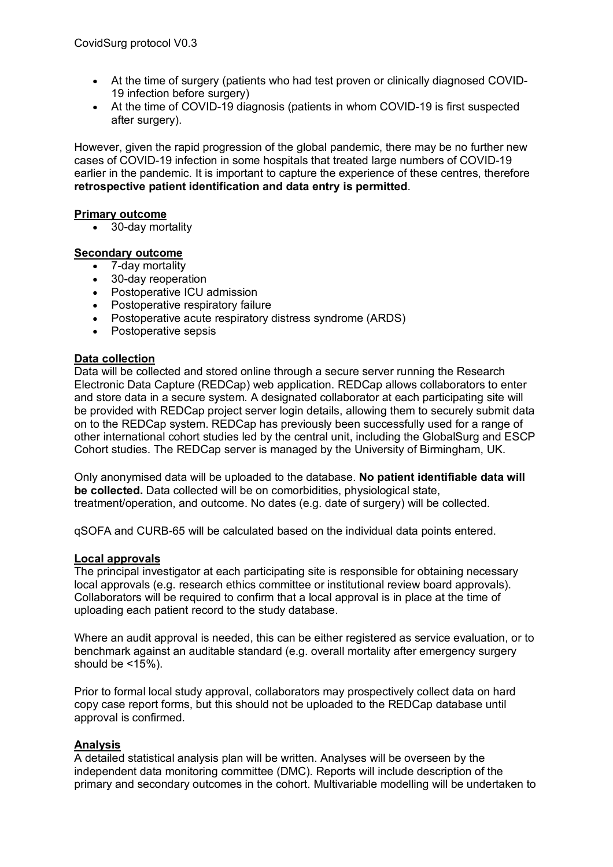- At the time of surgery (patients who had test proven or clinically diagnosed COVID-19 infection before surgery)
- At the time of COVID-19 diagnosis (patients in whom COVID-19 is first suspected after surgery).

However, given the rapid progression of the global pandemic, there may be no further new cases of COVID-19 infection in some hospitals that treated large numbers of COVID-19 earlier in the pandemic. It is important to capture the experience of these centres, therefore **retrospective patient identification and data entry is permitted**.

### **Primary outcome**

• 30-day mortality

### **Secondary outcome**

- 7-day mortality
- 30-day reoperation
- Postoperative ICU admission
- Postoperative respiratory failure
- Postoperative acute respiratory distress syndrome (ARDS)
- Postoperative sepsis

### **Data collection**

Data will be collected and stored online through a secure server running the Research Electronic Data Capture (REDCap) web application. REDCap allows collaborators to enter and store data in a secure system. A designated collaborator at each participating site will be provided with REDCap project server login details, allowing them to securely submit data on to the REDCap system. REDCap has previously been successfully used for a range of other international cohort studies led by the central unit, including the GlobalSurg and ESCP Cohort studies. The REDCap server is managed by the University of Birmingham, UK.

Only anonymised data will be uploaded to the database. **No patient identifiable data will be collected.** Data collected will be on comorbidities, physiological state, treatment/operation, and outcome. No dates (e.g. date of surgery) will be collected.

qSOFA and CURB-65 will be calculated based on the individual data points entered.

### **Local approvals**

The principal investigator at each participating site is responsible for obtaining necessary local approvals (e.g. research ethics committee or institutional review board approvals). Collaborators will be required to confirm that a local approval is in place at the time of uploading each patient record to the study database.

Where an audit approval is needed, this can be either registered as service evaluation, or to benchmark against an auditable standard (e.g. overall mortality after emergency surgery should be  $<15%$ ).

Prior to formal local study approval, collaborators may prospectively collect data on hard copy case report forms, but this should not be uploaded to the REDCap database until approval is confirmed.

## **Analysis**

A detailed statistical analysis plan will be written. Analyses will be overseen by the independent data monitoring committee (DMC). Reports will include description of the primary and secondary outcomes in the cohort. Multivariable modelling will be undertaken to